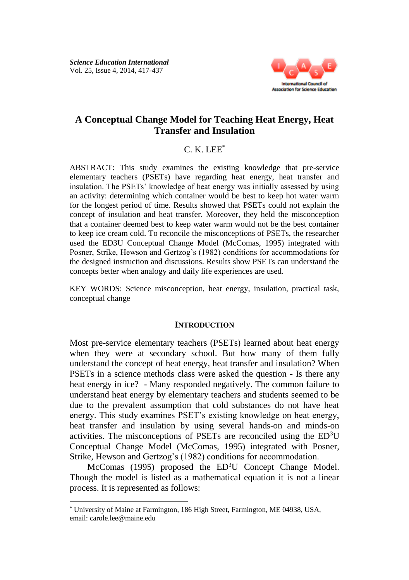

# **A Conceptual Change Model for Teaching Heat Energy, Heat Transfer and Insulation**

## $C$  K LEE<sup>\*</sup>

ABSTRACT: This study examines the existing knowledge that pre-service elementary teachers (PSETs) have regarding heat energy, heat transfer and insulation. The PSETs' knowledge of heat energy was initially assessed by using an activity: determining which container would be best to keep hot water warm for the longest period of time. Results showed that PSETs could not explain the concept of insulation and heat transfer. Moreover, they held the misconception that a container deemed best to keep water warm would not be the best container to keep ice cream cold. To reconcile the misconceptions of PSETs, the researcher used the ED3U Conceptual Change Model (McComas, 1995) integrated with Posner, Strike, Hewson and Gertzog's (1982) conditions for accommodations for the designed instruction and discussions. Results show PSETs can understand the concepts better when analogy and daily life experiences are used.

KEY WORDS: Science misconception, heat energy, insulation, practical task, conceptual change

### **INTRODUCTION**

Most pre-service elementary teachers (PSETs) learned about heat energy when they were at secondary school. But how many of them fully understand the concept of heat energy, heat transfer and insulation? When PSETs in a science methods class were asked the question - Is there any heat energy in ice? - Many responded negatively. The common failure to understand heat energy by elementary teachers and students seemed to be due to the prevalent assumption that cold substances do not have heat energy. This study examines PSET's existing knowledge on heat energy, heat transfer and insulation by using several hands-on and minds-on activities. The misconceptions of PSETs are reconciled using the ED<sup>3</sup>U Conceptual Change Model (McComas, 1995) integrated with Posner, Strike, Hewson and Gertzog's (1982) conditions for accommodation.

McComas (1995) proposed the ED<sup>3</sup>U Concept Change Model. Though the model is listed as a mathematical equation it is not a linear process. It is represented as follows:

<sup>\*</sup> University of Maine at Farmington, 186 High Street, Farmington, ME 04938, USA, email: carole.lee@maine.edu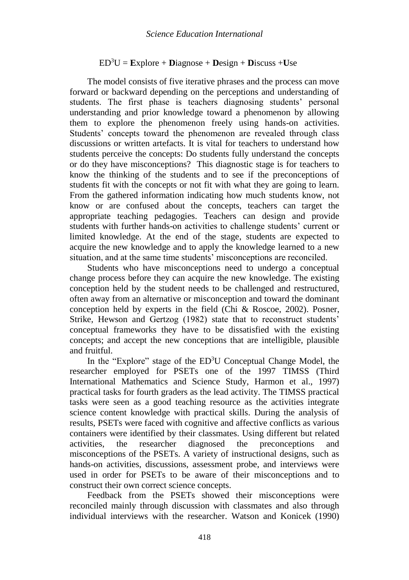## $ED^{3}U = Explore + Diaonose + Design + Discuss + Use$

The model consists of five iterative phrases and the process can move forward or backward depending on the perceptions and understanding of students. The first phase is teachers diagnosing students' personal understanding and prior knowledge toward a phenomenon by allowing them to explore the phenomenon freely using hands-on activities. Students' concepts toward the phenomenon are revealed through class discussions or written artefacts. It is vital for teachers to understand how students perceive the concepts: Do students fully understand the concepts or do they have misconceptions? This diagnostic stage is for teachers to know the thinking of the students and to see if the preconceptions of students fit with the concepts or not fit with what they are going to learn. From the gathered information indicating how much students know, not know or are confused about the concepts, teachers can target the appropriate teaching pedagogies. Teachers can design and provide students with further hands-on activities to challenge students' current or limited knowledge. At the end of the stage, students are expected to acquire the new knowledge and to apply the knowledge learned to a new situation, and at the same time students' misconceptions are reconciled.

Students who have misconceptions need to undergo a conceptual change process before they can acquire the new knowledge. The existing conception held by the student needs to be challenged and restructured, often away from an alternative or misconception and toward the dominant conception held by experts in the field (Chi & Roscoe, 2002). Posner, Strike, Hewson and Gertzog (1982) state that to reconstruct students' conceptual frameworks they have to be dissatisfied with the existing concepts; and accept the new conceptions that are intelligible, plausible and fruitful.

In the "Explore" stage of the ED<sup>3</sup>U Conceptual Change Model, the researcher employed for PSETs one of the 1997 TIMSS (Third International Mathematics and Science Study, Harmon et al., 1997) practical tasks for fourth graders as the lead activity. The TIMSS practical tasks were seen as a good teaching resource as the activities integrate science content knowledge with practical skills. During the analysis of results, PSETs were faced with cognitive and affective conflicts as various containers were identified by their classmates. Using different but related activities, the researcher diagnosed the preconceptions and misconceptions of the PSETs. A variety of instructional designs, such as hands-on activities, discussions, assessment probe, and interviews were used in order for PSETs to be aware of their misconceptions and to construct their own correct science concepts.

Feedback from the PSETs showed their misconceptions were reconciled mainly through discussion with classmates and also through individual interviews with the researcher. Watson and Konicek (1990)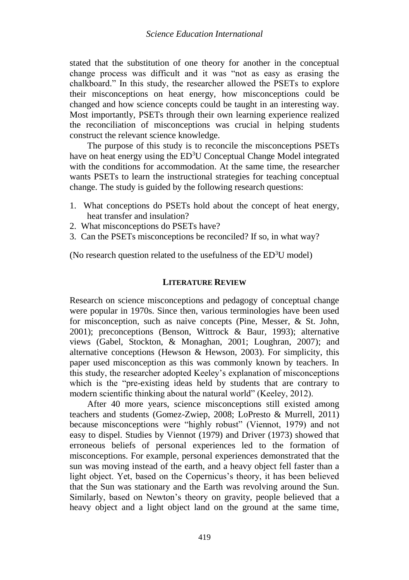stated that the substitution of one theory for another in the conceptual change process was difficult and it was "not as easy as erasing the chalkboard." In this study, the researcher allowed the PSETs to explore their misconceptions on heat energy, how misconceptions could be changed and how science concepts could be taught in an interesting way. Most importantly, PSETs through their own learning experience realized the reconciliation of misconceptions was crucial in helping students construct the relevant science knowledge.

The purpose of this study is to reconcile the misconceptions PSETs have on heat energy using the ED<sup>3</sup>U Conceptual Change Model integrated with the conditions for accommodation. At the same time, the researcher wants PSETs to learn the instructional strategies for teaching conceptual change. The study is guided by the following research questions:

- 1. What conceptions do PSETs hold about the concept of heat energy, heat transfer and insulation?
- 2. What misconceptions do PSETs have?
- 3. Can the PSETs misconceptions be reconciled? If so, in what way?

(No research question related to the usefulness of the  $ED<sup>3</sup>U$  model)

### **LITERATURE REVIEW**

Research on science misconceptions and pedagogy of conceptual change were popular in 1970s. Since then, various terminologies have been used for misconception, such as naive concepts (Pine, Messer, & St. John, 2001); preconceptions (Benson, Wittrock & Baur, 1993); alternative views (Gabel, Stockton, & Monaghan, 2001; Loughran, 2007); and alternative conceptions (Hewson  $\&$  Hewson, 2003). For simplicity, this paper used misconception as this was commonly known by teachers. In this study, the researcher adopted Keeley's explanation of misconceptions which is the "pre-existing ideas held by students that are contrary to modern scientific thinking about the natural world" (Keeley, 2012).

After 40 more years, science misconceptions still existed among teachers and students (Gomez-Zwiep, 2008; LoPresto & Murrell, 2011) because misconceptions were "highly robust" (Viennot, 1979) and not easy to dispel. Studies by Viennot (1979) and Driver (1973) showed that erroneous beliefs of personal experiences led to the formation of misconceptions. For example, personal experiences demonstrated that the sun was moving instead of the earth, and a heavy object fell faster than a light object. Yet, based on the Copernicus's theory, it has been believed that the Sun was stationary and the Earth was revolving around the Sun. Similarly, based on Newton's theory on gravity, people believed that a heavy object and a light object land on the ground at the same time,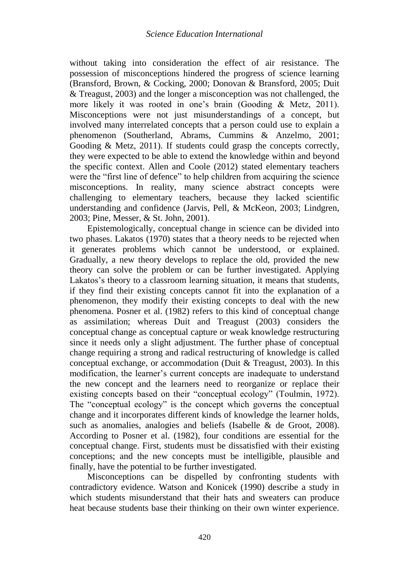without taking into consideration the effect of air resistance. The possession of misconceptions hindered the progress of science learning (Bransford, Brown, & Cocking, 2000; Donovan & Bransford, 2005; Duit & Treagust, 2003) and the longer a misconception was not challenged, the more likely it was rooted in one's brain (Gooding & Metz, 2011). Misconceptions were not just misunderstandings of a concept, but involved many interrelated concepts that a person could use to explain a phenomenon (Southerland, Abrams, Cummins & Anzelmo, 2001; Gooding & Metz, 2011). If students could grasp the concepts correctly, they were expected to be able to extend the knowledge within and beyond the specific context. Allen and Coole (2012) stated elementary teachers were the "first line of defence" to help children from acquiring the science misconceptions. In reality, many science abstract concepts were challenging to elementary teachers, because they lacked scientific understanding and confidence (Jarvis, Pell, & McKeon, 2003; Lindgren, 2003; Pine, Messer, & St. John, 2001).

Epistemologically, conceptual change in science can be divided into two phases. Lakatos (1970) states that a theory needs to be rejected when it generates problems which cannot be understood, or explained. Gradually, a new theory develops to replace the old, provided the new theory can solve the problem or can be further investigated. Applying Lakatos's theory to a classroom learning situation, it means that students, if they find their existing concepts cannot fit into the explanation of a phenomenon, they modify their existing concepts to deal with the new phenomena. Posner et al. (1982) refers to this kind of conceptual change as assimilation; whereas Duit and Treagust (2003) considers the conceptual change as conceptual capture or weak knowledge restructuring since it needs only a slight adjustment. The further phase of conceptual change requiring a strong and radical restructuring of knowledge is called conceptual exchange, or accommodation (Duit & Treagust, 2003). In this modification, the learner's current concepts are inadequate to understand the new concept and the learners need to reorganize or replace their existing concepts based on their "conceptual ecology" (Toulmin, 1972). The "conceptual ecology" is the concept which governs the conceptual change and it incorporates different kinds of knowledge the learner holds, such as anomalies, analogies and beliefs (Isabelle & de Groot, 2008). According to Posner et al. (1982), four conditions are essential for the conceptual change. First, students must be dissatisfied with their existing conceptions; and the new concepts must be intelligible, plausible and finally, have the potential to be further investigated.

Misconceptions can be dispelled by confronting students with contradictory evidence. Watson and Konicek (1990) describe a study in which students misunderstand that their hats and sweaters can produce heat because students base their thinking on their own winter experience.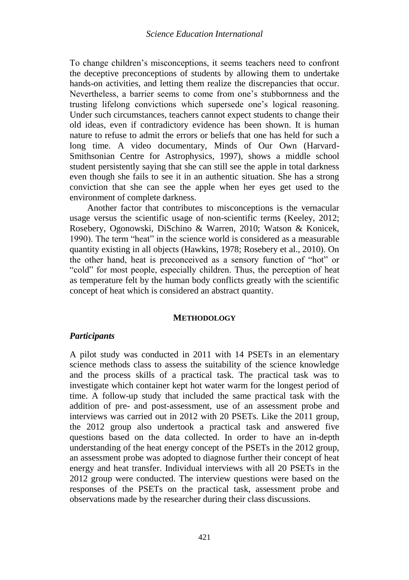To change children's misconceptions, it seems teachers need to confront the deceptive preconceptions of students by allowing them to undertake hands-on activities, and letting them realize the discrepancies that occur. Nevertheless, a barrier seems to come from one's stubbornness and the trusting lifelong convictions which supersede one's logical reasoning. Under such circumstances, teachers cannot expect students to change their old ideas, even if contradictory evidence has been shown. It is human nature to refuse to admit the errors or beliefs that one has held for such a long time. A video documentary, Minds of Our Own (Harvard-Smithsonian Centre for Astrophysics, 1997), shows a middle school student persistently saying that she can still see the apple in total darkness even though she fails to see it in an authentic situation. She has a strong conviction that she can see the apple when her eyes get used to the environment of complete darkness.

Another factor that contributes to misconceptions is the vernacular usage versus the scientific usage of non-scientific terms (Keeley, 2012; Rosebery, Ogonowski, DiSchino & Warren, 2010; Watson & Konicek, 1990). The term "heat" in the science world is considered as a measurable quantity existing in all objects (Hawkins, 1978; Rosebery et al., 2010). On the other hand, heat is preconceived as a sensory function of "hot" or "cold" for most people, especially children. Thus, the perception of heat as temperature felt by the human body conflicts greatly with the scientific concept of heat which is considered an abstract quantity.

### **METHODOLOGY**

### *Participants*

A pilot study was conducted in 2011 with 14 PSETs in an elementary science methods class to assess the suitability of the science knowledge and the process skills of a practical task. The practical task was to investigate which container kept hot water warm for the longest period of time. A follow-up study that included the same practical task with the addition of pre- and post-assessment, use of an assessment probe and interviews was carried out in 2012 with 20 PSETs. Like the 2011 group, the 2012 group also undertook a practical task and answered five questions based on the data collected. In order to have an in-depth understanding of the heat energy concept of the PSETs in the 2012 group, an assessment probe was adopted to diagnose further their concept of heat energy and heat transfer. Individual interviews with all 20 PSETs in the 2012 group were conducted. The interview questions were based on the responses of the PSETs on the practical task, assessment probe and observations made by the researcher during their class discussions.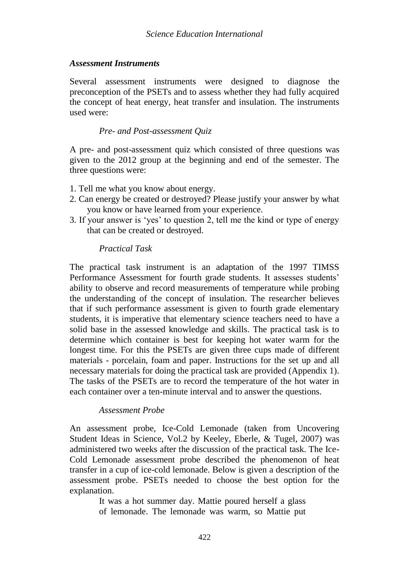### *Assessment Instruments*

Several assessment instruments were designed to diagnose the preconception of the PSETs and to assess whether they had fully acquired the concept of heat energy, heat transfer and insulation. The instruments used were:

## *Pre- and Post-assessment Quiz*

A pre- and post-assessment quiz which consisted of three questions was given to the 2012 group at the beginning and end of the semester. The three questions were:

- 1. Tell me what you know about energy.
- 2. Can energy be created or destroyed? Please justify your answer by what you know or have learned from your experience.
- 3. If your answer is 'yes' to question 2, tell me the kind or type of energy that can be created or destroyed.

### *Practical Task*

The practical task instrument is an adaptation of the 1997 TIMSS Performance Assessment for fourth grade students. It assesses students' ability to observe and record measurements of temperature while probing the understanding of the concept of insulation. The researcher believes that if such performance assessment is given to fourth grade elementary students, it is imperative that elementary science teachers need to have a solid base in the assessed knowledge and skills. The practical task is to determine which container is best for keeping hot water warm for the longest time. For this the PSETs are given three cups made of different materials - porcelain, foam and paper. Instructions for the set up and all necessary materials for doing the practical task are provided (Appendix 1). The tasks of the PSETs are to record the temperature of the hot water in each container over a ten-minute interval and to answer the questions.

### *Assessment Probe*

An assessment probe, Ice-Cold Lemonade (taken from Uncovering Student Ideas in Science, Vol.2 by Keeley, Eberle, & Tugel, 2007) was administered two weeks after the discussion of the practical task. The Ice-Cold Lemonade assessment probe described the phenomenon of heat transfer in a cup of ice-cold lemonade. Below is given a description of the assessment probe. PSETs needed to choose the best option for the explanation.

> It was a hot summer day. Mattie poured herself a glass of lemonade. The lemonade was warm, so Mattie put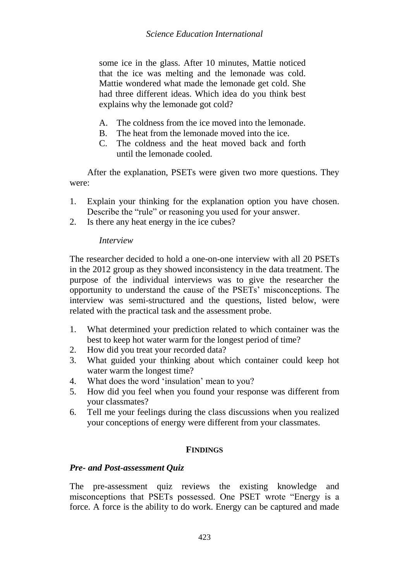some ice in the glass. After 10 minutes, Mattie noticed that the ice was melting and the lemonade was cold. Mattie wondered what made the lemonade get cold. She had three different ideas. Which idea do you think best explains why the lemonade got cold?

- A. The coldness from the ice moved into the lemonade.
- B. The heat from the lemonade moved into the ice.
- C. The coldness and the heat moved back and forth until the lemonade cooled.

After the explanation, PSETs were given two more questions. They were:

- 1. Explain your thinking for the explanation option you have chosen. Describe the "rule" or reasoning you used for your answer.
- 2. Is there any heat energy in the ice cubes?

## *Interview*

The researcher decided to hold a one-on-one interview with all 20 PSETs in the 2012 group as they showed inconsistency in the data treatment. The purpose of the individual interviews was to give the researcher the opportunity to understand the cause of the PSETs' misconceptions. The interview was semi-structured and the questions, listed below, were related with the practical task and the assessment probe.

- 1. What determined your prediction related to which container was the best to keep hot water warm for the longest period of time?
- 2. How did you treat your recorded data?
- 3. What guided your thinking about which container could keep hot water warm the longest time?
- 4. What does the word 'insulation' mean to you?
- 5. How did you feel when you found your response was different from your classmates?
- 6. Tell me your feelings during the class discussions when you realized your conceptions of energy were different from your classmates.

## **FINDINGS**

## *Pre- and Post-assessment Quiz*

The pre-assessment quiz reviews the existing knowledge and misconceptions that PSETs possessed. One PSET wrote "Energy is a force. A force is the ability to do work. Energy can be captured and made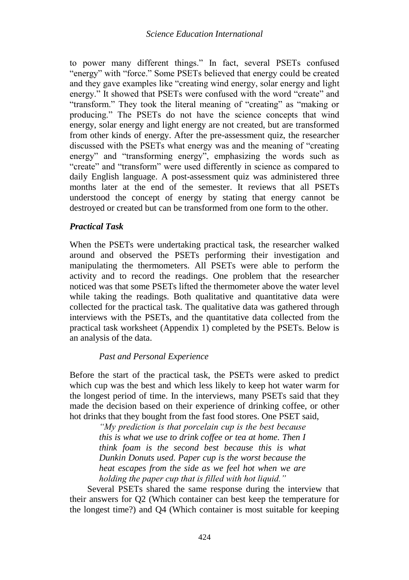to power many different things." In fact, several PSETs confused "energy" with "force." Some PSETs believed that energy could be created and they gave examples like "creating wind energy, solar energy and light energy." It showed that PSETs were confused with the word "create" and "transform." They took the literal meaning of "creating" as "making or producing." The PSETs do not have the science concepts that wind energy, solar energy and light energy are not created, but are transformed from other kinds of energy. After the pre-assessment quiz, the researcher discussed with the PSETs what energy was and the meaning of "creating energy" and "transforming energy", emphasizing the words such as "create" and "transform" were used differently in science as compared to daily English language. A post-assessment quiz was administered three months later at the end of the semester. It reviews that all PSETs understood the concept of energy by stating that energy cannot be destroyed or created but can be transformed from one form to the other.

## *Practical Task*

When the PSETs were undertaking practical task, the researcher walked around and observed the PSETs performing their investigation and manipulating the thermometers. All PSETs were able to perform the activity and to record the readings. One problem that the researcher noticed was that some PSETs lifted the thermometer above the water level while taking the readings. Both qualitative and quantitative data were collected for the practical task. The qualitative data was gathered through interviews with the PSETs, and the quantitative data collected from the practical task worksheet (Appendix 1) completed by the PSETs. Below is an analysis of the data.

### *Past and Personal Experience*

Before the start of the practical task, the PSETs were asked to predict which cup was the best and which less likely to keep hot water warm for the longest period of time. In the interviews, many PSETs said that they made the decision based on their experience of drinking coffee, or other hot drinks that they bought from the fast food stores. One PSET said,

> *"My prediction is that porcelain cup is the best because this is what we use to drink coffee or tea at home. Then I think foam is the second best because this is what Dunkin Donuts used. Paper cup is the worst because the heat escapes from the side as we feel hot when we are holding the paper cup that is filled with hot liquid."*

Several PSETs shared the same response during the interview that their answers for Q2 (Which container can best keep the temperature for the longest time?) and Q4 (Which container is most suitable for keeping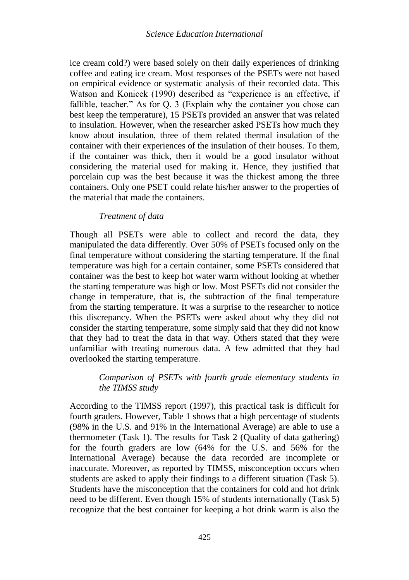ice cream cold?) were based solely on their daily experiences of drinking coffee and eating ice cream. Most responses of the PSETs were not based on empirical evidence or systematic analysis of their recorded data. This Watson and Konicek (1990) described as "experience is an effective, if fallible, teacher." As for Q. 3 (Explain why the container you chose can best keep the temperature), 15 PSETs provided an answer that was related to insulation. However, when the researcher asked PSETs how much they know about insulation, three of them related thermal insulation of the container with their experiences of the insulation of their houses. To them, if the container was thick, then it would be a good insulator without considering the material used for making it. Hence, they justified that porcelain cup was the best because it was the thickest among the three containers. Only one PSET could relate his/her answer to the properties of the material that made the containers.

## *Treatment of data*

Though all PSETs were able to collect and record the data, they manipulated the data differently. Over 50% of PSETs focused only on the final temperature without considering the starting temperature. If the final temperature was high for a certain container, some PSETs considered that container was the best to keep hot water warm without looking at whether the starting temperature was high or low. Most PSETs did not consider the change in temperature, that is, the subtraction of the final temperature from the starting temperature. It was a surprise to the researcher to notice this discrepancy. When the PSETs were asked about why they did not consider the starting temperature, some simply said that they did not know that they had to treat the data in that way. Others stated that they were unfamiliar with treating numerous data. A few admitted that they had overlooked the starting temperature.

## *Comparison of PSETs with fourth grade elementary students in the TIMSS study*

According to the TIMSS report (1997), this practical task is difficult for fourth graders. However, Table 1 shows that a high percentage of students (98% in the U.S. and 91% in the International Average) are able to use a thermometer (Task 1). The results for Task 2 (Quality of data gathering) for the fourth graders are low (64% for the U.S. and 56% for the International Average) because the data recorded are incomplete or inaccurate. Moreover, as reported by TIMSS, misconception occurs when students are asked to apply their findings to a different situation (Task 5). Students have the misconception that the containers for cold and hot drink need to be different. Even though 15% of students internationally (Task 5) recognize that the best container for keeping a hot drink warm is also the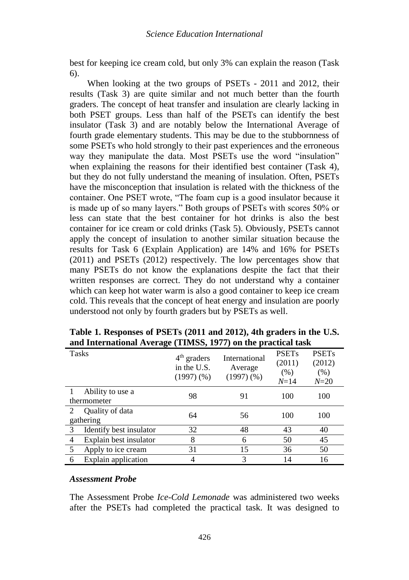best for keeping ice cream cold, but only 3% can explain the reason (Task 6).

When looking at the two groups of PSETs - 2011 and 2012, their results (Task 3) are quite similar and not much better than the fourth graders. The concept of heat transfer and insulation are clearly lacking in both PSET groups. Less than half of the PSETs can identify the best insulator (Task 3) and are notably below the International Average of fourth grade elementary students. This may be due to the stubbornness of some PSETs who hold strongly to their past experiences and the erroneous way they manipulate the data. Most PSETs use the word "insulation" when explaining the reasons for their identified best container (Task 4), but they do not fully understand the meaning of insulation. Often, PSETs have the misconception that insulation is related with the thickness of the container. One PSET wrote, "The foam cup is a good insulator because it is made up of so many layers." Both groups of PSETs with scores 50% or less can state that the best container for hot drinks is also the best container for ice cream or cold drinks (Task 5). Obviously, PSETs cannot apply the concept of insulation to another similar situation because the results for Task 6 (Explain Application) are 14% and 16% for PSETs (2011) and PSETs (2012) respectively. The low percentages show that many PSETs do not know the explanations despite the fact that their written responses are correct. They do not understand why a container which can keep hot water warm is also a good container to keep ice cream cold. This reveals that the concept of heat energy and insulation are poorly understood not only by fourth graders but by PSETs as well.

|                | Tasks                           | $4th$ graders<br>in the U.S.<br>$(1997)$ $(\%)$ | International<br>Average<br>$(1997)$ $(\%)$ | <b>PSETs</b><br>(2011)<br>(% )<br>$N = 14$ | <b>PSETs</b><br>(2012)<br>(% )<br>$N = 20$ |
|----------------|---------------------------------|-------------------------------------------------|---------------------------------------------|--------------------------------------------|--------------------------------------------|
|                | Ability to use a<br>thermometer | 98                                              | 91                                          | 100                                        | 100                                        |
| 2              | Quality of data<br>gathering    | 64                                              | 56                                          | 100                                        | 100                                        |
| 3              | Identify best insulator         | 32                                              | 48                                          | 43                                         | 40                                         |
| $\overline{4}$ | Explain best insulator          | 8                                               | 6                                           | 50                                         | 45                                         |
| 5              | Apply to ice cream              | 31                                              | 15                                          | 36                                         | 50                                         |
| 6              | Explain application             | 4                                               | 3                                           | 14                                         | 16                                         |

**Table 1. Responses of PSETs (2011 and 2012), 4th graders in the U.S. and International Average (TIMSS, 1977) on the practical task**

### *Assessment Probe*

The Assessment Probe *Ice-Cold Lemonade* was administered two weeks after the PSETs had completed the practical task. It was designed to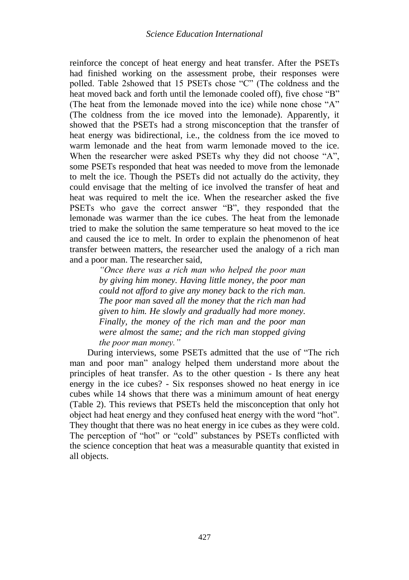reinforce the concept of heat energy and heat transfer. After the PSETs had finished working on the assessment probe, their responses were polled. Table 2showed that 15 PSETs chose "C" (The coldness and the heat moved back and forth until the lemonade cooled off), five chose "B" (The heat from the lemonade moved into the ice) while none chose "A" (The coldness from the ice moved into the lemonade). Apparently, it showed that the PSETs had a strong misconception that the transfer of heat energy was bidirectional, i.e., the coldness from the ice moved to warm lemonade and the heat from warm lemonade moved to the ice. When the researcher were asked PSETs why they did not choose "A". some PSETs responded that heat was needed to move from the lemonade to melt the ice. Though the PSETs did not actually do the activity, they could envisage that the melting of ice involved the transfer of heat and heat was required to melt the ice. When the researcher asked the five PSETs who gave the correct answer "B", they responded that the lemonade was warmer than the ice cubes. The heat from the lemonade tried to make the solution the same temperature so heat moved to the ice and caused the ice to melt. In order to explain the phenomenon of heat transfer between matters, the researcher used the analogy of a rich man and a poor man. The researcher said,

> *"Once there was a rich man who helped the poor man by giving him money. Having little money, the poor man could not afford to give any money back to the rich man. The poor man saved all the money that the rich man had given to him. He slowly and gradually had more money. Finally, the money of the rich man and the poor man were almost the same; and the rich man stopped giving the poor man money."*

During interviews, some PSETs admitted that the use of "The rich man and poor man" analogy helped them understand more about the principles of heat transfer. As to the other question - Is there any heat energy in the ice cubes? - Six responses showed no heat energy in ice cubes while 14 shows that there was a minimum amount of heat energy (Table 2). This reviews that PSETs held the misconception that only hot object had heat energy and they confused heat energy with the word "hot". They thought that there was no heat energy in ice cubes as they were cold. The perception of "hot" or "cold" substances by PSETs conflicted with the science conception that heat was a measurable quantity that existed in all objects.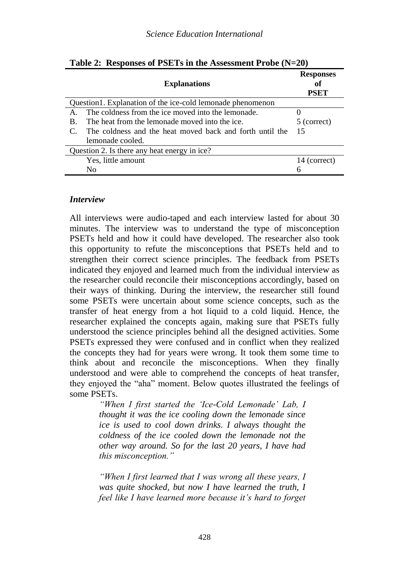| <b>Explanations</b>                                        | <b>Responses</b><br>of<br>PSET |  |  |  |  |  |
|------------------------------------------------------------|--------------------------------|--|--|--|--|--|
| Question1. Explanation of the ice-cold lemonade phenomenon |                                |  |  |  |  |  |
| The coldness from the ice moved into the lemonade.         |                                |  |  |  |  |  |
| The heat from the lemonade moved into the ice.<br>B.       | 5 (correct)                    |  |  |  |  |  |
| The coldness and the heat moved back and forth until the   | 15                             |  |  |  |  |  |
| lemonade cooled.                                           |                                |  |  |  |  |  |
| Question 2. Is there any heat energy in ice?               |                                |  |  |  |  |  |
| Yes, little amount                                         | 14 (correct)                   |  |  |  |  |  |
| No                                                         | h                              |  |  |  |  |  |

**Table 2: Responses of PSETs in the Assessment Probe (N=20)**

### *Interview*

All interviews were audio-taped and each interview lasted for about 30 minutes. The interview was to understand the type of misconception PSETs held and how it could have developed. The researcher also took this opportunity to refute the misconceptions that PSETs held and to strengthen their correct science principles. The feedback from PSETs indicated they enjoyed and learned much from the individual interview as the researcher could reconcile their misconceptions accordingly, based on their ways of thinking. During the interview, the researcher still found some PSETs were uncertain about some science concepts, such as the transfer of heat energy from a hot liquid to a cold liquid. Hence, the researcher explained the concepts again, making sure that PSETs fully understood the science principles behind all the designed activities. Some PSETs expressed they were confused and in conflict when they realized the concepts they had for years were wrong. It took them some time to think about and reconcile the misconceptions. When they finally understood and were able to comprehend the concepts of heat transfer, they enjoyed the "aha" moment. Below quotes illustrated the feelings of some PSETs.

> *"When I first started the 'Ice-Cold Lemonade' Lab, I thought it was the ice cooling down the lemonade since ice is used to cool down drinks. I always thought the coldness of the ice cooled down the lemonade not the other way around. So for the last 20 years, I have had this misconception."*

> *"When I first learned that I was wrong all these years, I was quite shocked, but now I have learned the truth, I feel like I have learned more because it's hard to forget*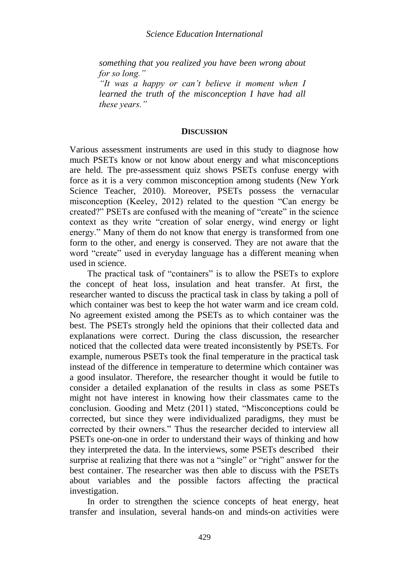*something that you realized you have been wrong about for so long."*

*"It was a happy or can't believe it moment when I learned the truth of the misconception I have had all these years."*

#### **DISCUSSION**

Various assessment instruments are used in this study to diagnose how much PSETs know or not know about energy and what misconceptions are held. The pre-assessment quiz shows PSETs confuse energy with force as it is a very common misconception among students (New York Science Teacher, 2010). Moreover, PSETs possess the vernacular misconception (Keeley, 2012) related to the question "Can energy be created?" PSETs are confused with the meaning of "create" in the science context as they write "creation of solar energy, wind energy or light energy." Many of them do not know that energy is transformed from one form to the other, and energy is conserved. They are not aware that the word "create" used in everyday language has a different meaning when used in science.

The practical task of "containers" is to allow the PSETs to explore the concept of heat loss, insulation and heat transfer. At first, the researcher wanted to discuss the practical task in class by taking a poll of which container was best to keep the hot water warm and ice cream cold. No agreement existed among the PSETs as to which container was the best. The PSETs strongly held the opinions that their collected data and explanations were correct. During the class discussion, the researcher noticed that the collected data were treated inconsistently by PSETs. For example, numerous PSETs took the final temperature in the practical task instead of the difference in temperature to determine which container was a good insulator. Therefore, the researcher thought it would be futile to consider a detailed explanation of the results in class as some PSETs might not have interest in knowing how their classmates came to the conclusion. Gooding and Metz (2011) stated, "Misconceptions could be corrected, but since they were individualized paradigms, they must be corrected by their owners." Thus the researcher decided to interview all PSETs one-on-one in order to understand their ways of thinking and how they interpreted the data. In the interviews, some PSETs described their surprise at realizing that there was not a "single" or "right" answer for the best container. The researcher was then able to discuss with the PSETs about variables and the possible factors affecting the practical investigation.

In order to strengthen the science concepts of heat energy, heat transfer and insulation, several hands-on and minds-on activities were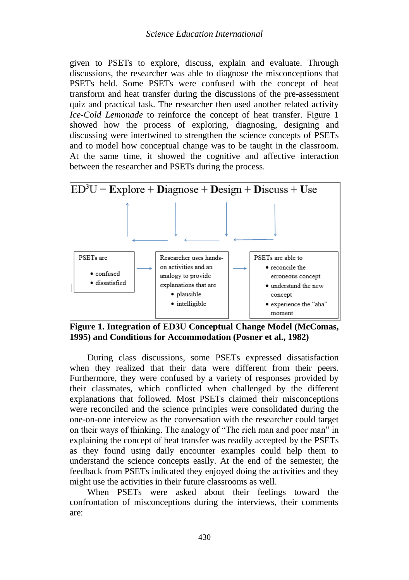given to PSETs to explore, discuss, explain and evaluate. Through discussions, the researcher was able to diagnose the misconceptions that PSETs held. Some PSETs were confused with the concept of heat transform and heat transfer during the discussions of the pre-assessment quiz and practical task. The researcher then used another related activity *Ice-Cold Lemonade* to reinforce the concept of heat transfer. Figure 1 showed how the process of exploring, diagnosing, designing and discussing were intertwined to strengthen the science concepts of PSETs and to model how conceptual change was to be taught in the classroom. At the same time, it showed the cognitive and affective interaction between the researcher and PSETs during the process.



**Figure 1. Integration of ED3U Conceptual Change Model (McComas, 1995) and Conditions for Accommodation (Posner et al., 1982)**

During class discussions, some PSETs expressed dissatisfaction when they realized that their data were different from their peers. Furthermore, they were confused by a variety of responses provided by their classmates, which conflicted when challenged by the different explanations that followed. Most PSETs claimed their misconceptions were reconciled and the science principles were consolidated during the one-on-one interview as the conversation with the researcher could target on their ways of thinking. The analogy of "The rich man and poor man" in explaining the concept of heat transfer was readily accepted by the PSETs as they found using daily encounter examples could help them to understand the science concepts easily. At the end of the semester, the feedback from PSETs indicated they enjoyed doing the activities and they might use the activities in their future classrooms as well.

When PSETs were asked about their feelings toward the confrontation of misconceptions during the interviews, their comments are: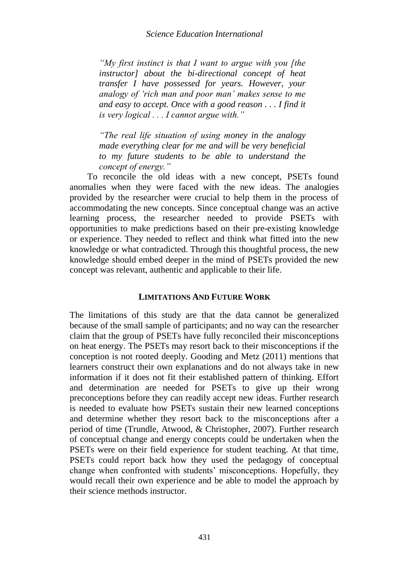*"My first instinct is that I want to argue with you [the instructor] about the bi-directional concept of heat transfer I have possessed for years. However, your analogy of 'rich man and poor man' makes sense to me and easy to accept. Once with a good reason . . . I find it is very logical . . . I cannot argue with."* 

*"The real life situation of using money in the analogy made everything clear for me and will be very beneficial to my future students to be able to understand the concept of energy."*

To reconcile the old ideas with a new concept, PSETs found anomalies when they were faced with the new ideas. The analogies provided by the researcher were crucial to help them in the process of accommodating the new concepts. Since conceptual change was an active learning process, the researcher needed to provide PSETs with opportunities to make predictions based on their pre-existing knowledge or experience. They needed to reflect and think what fitted into the new knowledge or what contradicted. Through this thoughtful process, the new knowledge should embed deeper in the mind of PSETs provided the new concept was relevant, authentic and applicable to their life.

### **LIMITATIONS AND FUTURE WORK**

The limitations of this study are that the data cannot be generalized because of the small sample of participants; and no way can the researcher claim that the group of PSETs have fully reconciled their misconceptions on heat energy. The PSETs may resort back to their misconceptions if the conception is not rooted deeply. Gooding and Metz (2011) mentions that learners construct their own explanations and do not always take in new information if it does not fit their established pattern of thinking. Effort and determination are needed for PSETs to give up their wrong preconceptions before they can readily accept new ideas. Further research is needed to evaluate how PSETs sustain their new learned conceptions and determine whether they resort back to the misconceptions after a period of time (Trundle, Atwood, & Christopher, 2007). Further research of conceptual change and energy concepts could be undertaken when the PSETs were on their field experience for student teaching. At that time, PSETs could report back how they used the pedagogy of conceptual change when confronted with students' misconceptions. Hopefully, they would recall their own experience and be able to model the approach by their science methods instructor.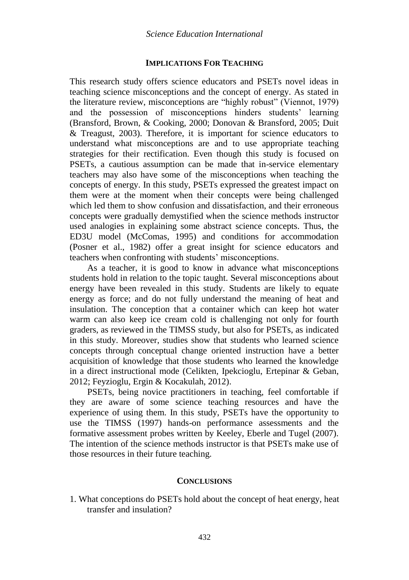### **IMPLICATIONS FOR TEACHING**

This research study offers science educators and PSETs novel ideas in teaching science misconceptions and the concept of energy. As stated in the literature review, misconceptions are "highly robust" (Viennot, 1979) and the possession of misconceptions hinders students' learning (Bransford, Brown, & Cooking, 2000; Donovan & Bransford, 2005; Duit & Treagust, 2003). Therefore, it is important for science educators to understand what misconceptions are and to use appropriate teaching strategies for their rectification. Even though this study is focused on PSETs, a cautious assumption can be made that in-service elementary teachers may also have some of the misconceptions when teaching the concepts of energy. In this study, PSETs expressed the greatest impact on them were at the moment when their concepts were being challenged which led them to show confusion and dissatisfaction, and their erroneous concepts were gradually demystified when the science methods instructor used analogies in explaining some abstract science concepts. Thus, the ED3U model (McComas, 1995) and conditions for accommodation (Posner et al., 1982) offer a great insight for science educators and teachers when confronting with students' misconceptions.

As a teacher, it is good to know in advance what misconceptions students hold in relation to the topic taught. Several misconceptions about energy have been revealed in this study. Students are likely to equate energy as force; and do not fully understand the meaning of heat and insulation. The conception that a container which can keep hot water warm can also keep ice cream cold is challenging not only for fourth graders, as reviewed in the TIMSS study, but also for PSETs, as indicated in this study. Moreover, studies show that students who learned science concepts through conceptual change oriented instruction have a better acquisition of knowledge that those students who learned the knowledge in a direct instructional mode (Celikten, Ipekcioglu, Ertepinar & Geban, 2012; Feyzioglu, Ergin & Kocakulah, 2012).

PSETs, being novice practitioners in teaching, feel comfortable if they are aware of some science teaching resources and have the experience of using them. In this study, PSETs have the opportunity to use the TIMSS (1997) hands-on performance assessments and the formative assessment probes written by Keeley, Eberle and Tugel (2007). The intention of the science methods instructor is that PSETs make use of those resources in their future teaching.

#### **CONCLUSIONS**

1. What conceptions do PSETs hold about the concept of heat energy, heat transfer and insulation?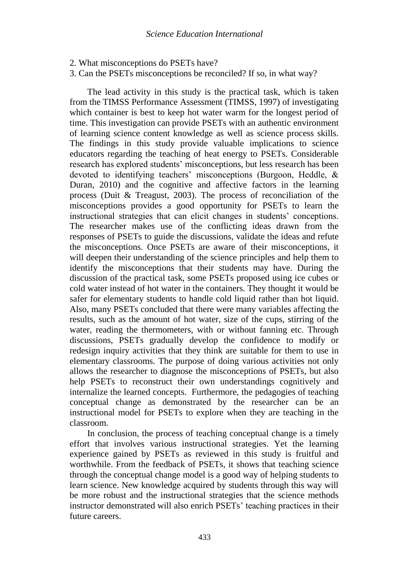- 2. What misconceptions do PSETs have?
- 3. Can the PSETs misconceptions be reconciled? If so, in what way?

The lead activity in this study is the practical task, which is taken from the TIMSS Performance Assessment (TIMSS, 1997) of investigating which container is best to keep hot water warm for the longest period of time. This investigation can provide PSETs with an authentic environment of learning science content knowledge as well as science process skills. The findings in this study provide valuable implications to science educators regarding the teaching of heat energy to PSETs. Considerable research has explored students' misconceptions, but less research has been devoted to identifying teachers' misconceptions (Burgoon, Heddle, & Duran, 2010) and the cognitive and affective factors in the learning process (Duit & Treagust, 2003). The process of reconciliation of the misconceptions provides a good opportunity for PSETs to learn the instructional strategies that can elicit changes in students' conceptions. The researcher makes use of the conflicting ideas drawn from the responses of PSETs to guide the discussions, validate the ideas and refute the misconceptions. Once PSETs are aware of their misconceptions, it will deepen their understanding of the science principles and help them to identify the misconceptions that their students may have. During the discussion of the practical task, some PSETs proposed using ice cubes or cold water instead of hot water in the containers. They thought it would be safer for elementary students to handle cold liquid rather than hot liquid. Also, many PSETs concluded that there were many variables affecting the results, such as the amount of hot water, size of the cups, stirring of the water, reading the thermometers, with or without fanning etc. Through discussions, PSETs gradually develop the confidence to modify or redesign inquiry activities that they think are suitable for them to use in elementary classrooms. The purpose of doing various activities not only allows the researcher to diagnose the misconceptions of PSETs, but also help PSETs to reconstruct their own understandings cognitively and internalize the learned concepts. Furthermore, the pedagogies of teaching conceptual change as demonstrated by the researcher can be an instructional model for PSETs to explore when they are teaching in the classroom.

In conclusion, the process of teaching conceptual change is a timely effort that involves various instructional strategies. Yet the learning experience gained by PSETs as reviewed in this study is fruitful and worthwhile. From the feedback of PSETs, it shows that teaching science through the conceptual change model is a good way of helping students to learn science. New knowledge acquired by students through this way will be more robust and the instructional strategies that the science methods instructor demonstrated will also enrich PSETs' teaching practices in their future careers.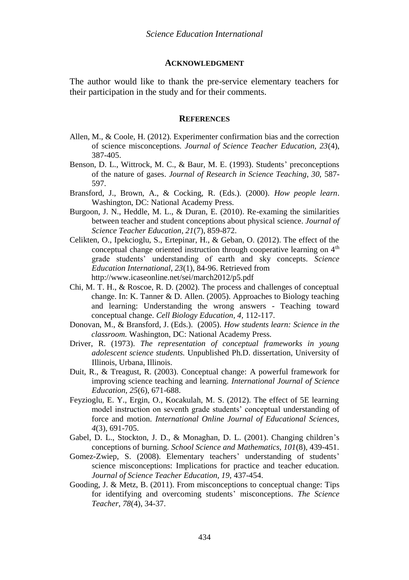#### **ACKNOWLEDGMENT**

The author would like to thank the pre-service elementary teachers for their participation in the study and for their comments.

#### **REFERENCES**

- Allen, M., & Coole, H. (2012). Experimenter confirmation bias and the correction of science misconceptions. *Journal of Science Teacher Education, 23*(4), 387-405.
- Benson, D. L., Wittrock, M. C., & Baur, M. E. (1993). Students' preconceptions of the nature of gases. *Journal of Research in Science Teaching, 30,* 587- 597.
- Bransford, J., Brown, A., & Cocking, R. (Eds.). (2000). *How people learn*. Washington, DC: National Academy Press.
- Burgoon, J. N., Heddle, M. L., & Duran, E. (2010). Re-examing the similarities between teacher and student conceptions about physical science. *Journal of Science Teacher Education, 21*(7), 859-872.
- Celikten, O., Ipekcioglu, S., Ertepinar, H., & Geban, O. (2012). The effect of the conceptual change oriented instruction through cooperative learning on  $4<sup>th</sup>$ grade students' understanding of earth and sky concepts. *Science Education International, 23*(1), 84-96. Retrieved from http://www.icaseonline.net/sei/march2012/p5.pdf
- Chi, M. T. H., & Roscoe, R. D. (2002). The process and challenges of conceptual change. In: K. Tanner & D. Allen. (2005). Approaches to Biology teaching and learning: Understanding the wrong answers - Teaching toward conceptual change. *Cell Biology Education, 4,* 112-117.
- Donovan, M., & Bransford, J. (Eds.). (2005). *How students learn: Science in the classroom.* Washington, DC: National Academy Press.
- Driver, R. (1973). *The representation of conceptual frameworks in young adolescent science students.* Unpublished Ph.D. dissertation, University of Illinois, Urbana, Illinois.
- Duit, R., & Treagust, R. (2003). Conceptual change: A powerful framework for improving science teaching and learning. *International Journal of Science Education, 25*(6), 671-688.
- Feyzioglu, E. Y., Ergin, O., Kocakulah, M. S. (2012). The effect of 5E learning model instruction on seventh grade students' conceptual understanding of force and motion. *International Online Journal of Educational Sciences, 4*(3), 691-705.
- Gabel, D. L., Stockton, J. D., & Monaghan, D. L. (2001). Changing children's conceptions of burning. *School Science and Mathematics, 101*(8)*,* 439-451.
- Gomez-Zwiep, S. (2008). Elementary teachers' understanding of students' science misconceptions: Implications for practice and teacher education. *Journal of Science Teacher Education, 19,* 437-454.
- Gooding, J. & Metz, B. (2011). From misconceptions to conceptual change: Tips for identifying and overcoming students' misconceptions. *The Science Teacher, 78*(4), 34-37.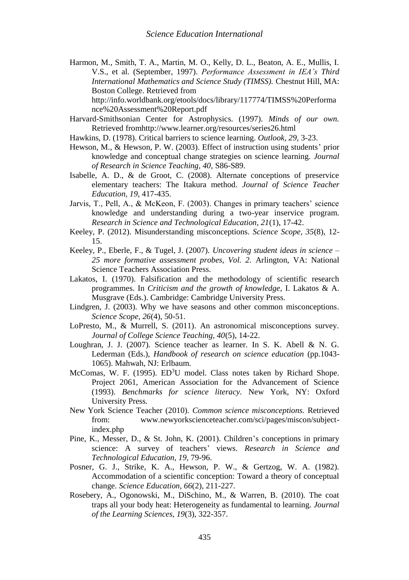Harmon, M., Smith, T. A., Martin, M. O., Kelly, D. L., Beaton, A. E., Mullis, I. V.S., et al. (September, 1997). *Performance Assessment in IEA's Third International Mathematics and Science Study (TIMSS).* Chestnut Hill, MA: Boston College. Retrieved from

http://info.worldbank.org/etools/docs/library/117774/TIMSS%20Performa nce%20Assessment%20Report.pdf

- Harvard-Smithsonian Center for Astrophysics. (1997). *Minds of our own.* Retrieved fromhttp://www.learner.org/resources/series26.html
- Hawkins, D. (1978). Critical barriers to science learning. *Outlook, 29,* 3-23.
- Hewson, M., & Hewson, P. W. (2003). Effect of instruction using students' prior knowledge and conceptual change strategies on science learning. *Journal of Research in Science Teaching, 40,* S86-S89.
- Isabelle, A. D., & de Groot, C. (2008). Alternate conceptions of preservice elementary teachers: The Itakura method. *Journal of Science Teacher Education, 19*, 417-435.
- Jarvis, T., Pell, A., & McKeon, F. (2003). Changes in primary teachers' science knowledge and understanding during a two-year inservice program. *Research in Science and Technological Education, 21*(1), 17-42.
- Keeley, P. (2012). Misunderstanding misconceptions. *Science Scope, 35*(8), 12- 15.
- Keeley, P., Eberle, F., & Tugel, J. (2007). *Uncovering student ideas in science – 25 more formative assessment probes, Vol. 2.* Arlington, VA: National Science Teachers Association Press.
- Lakatos, I. (1970). Falsification and the methodology of scientific research programmes. In *Criticism and the growth of knowledge,* I. Lakatos & A. Musgrave (Eds.). Cambridge: Cambridge University Press.
- Lindgren, J. (2003). Why we have seasons and other common misconceptions*. Science Scope, 26*(4), 50-51.
- LoPresto, M., & Murrell, S. (2011). An astronomical misconceptions survey. *Journal of College Science Teaching, 40*(5), 14-22.
- Loughran, J. J. (2007). Science teacher as learner. In S. K. Abell & N. G. Lederman (Eds.), *Handbook of research on science education* (pp.1043- 1065). Mahwah, NJ: Erlbaum.
- McComas, W. F. (1995).  $ED<sup>3</sup>U$  model. Class notes taken by Richard Shope. Project 2061, American Association for the Advancement of Science (1993). *Benchmarks for science literacy.* New York, NY: Oxford University Press.
- New York Science Teacher (2010). *Common science misconceptions.* Retrieved from: www.newyorkscienceteacher.com/sci/pages/miscon/subjectindex.php
- Pine, K., Messer, D., & St. John, K. (2001). Children's conceptions in primary science: A survey of teachers' views. *Research in Science and Technological Education, 19,* 79-96.
- Posner, G. J., Strike, K. A., Hewson, P. W., & Gertzog, W. A. (1982). Accommodation of a scientific conception: Toward a theory of conceptual change. *Science Education, 66*(2), 211-227.
- Rosebery, A., Ogonowski, M., DiSchino, M., & Warren, B. (2010). The coat traps all your body heat: Heterogeneity as fundamental to learning. *Journal of the Learning Sciences, 19*(3), 322-357.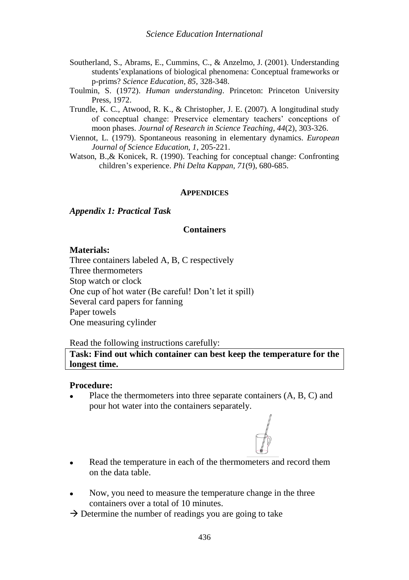- Southerland, S., Abrams, E., Cummins, C., & Anzelmo, J. (2001). Understanding students'explanations of biological phenomena: Conceptual frameworks or p-prims? *Science Education, 85,* 328-348.
- Toulmin, S. (1972). *Human understanding*. Princeton: Princeton University Press, 1972.
- Trundle, K. C., Atwood, R. K., & Christopher, J. E. (2007). A longitudinal study of conceptual change: Preservice elementary teachers' conceptions of moon phases. *Journal of Research in Science Teaching, 44*(2), 303-326.
- Viennot, L. (1979). Spontaneous reasoning in elementary dynamics. *European Journal of Science Education, 1,* 205-221.
- Watson, B.,& Konicek, R. (1990). Teaching for conceptual change: Confronting children's experience. *Phi Delta Kappan, 71*(9), 680-685.

#### **APPENDICES**

#### *Appendix 1: Practical Task*

### **Containers**

#### **Materials:**

Three containers labeled A, B, C respectively Three thermometers Stop watch or clock One cup of hot water (Be careful! Don't let it spill) Several card papers for fanning Paper towels One measuring cylinder

### Read the following instructions carefully:

**Task: Find out which container can best keep the temperature for the longest time.**

#### **Procedure:**

 Place the thermometers into three separate containers (A, B, C) and pour hot water into the containers separately.



- Read the temperature in each of the thermometers and record them on the data table.
- Now, you need to measure the temperature change in the three containers over a total of 10 minutes.
- $\rightarrow$  Determine the number of readings you are going to take